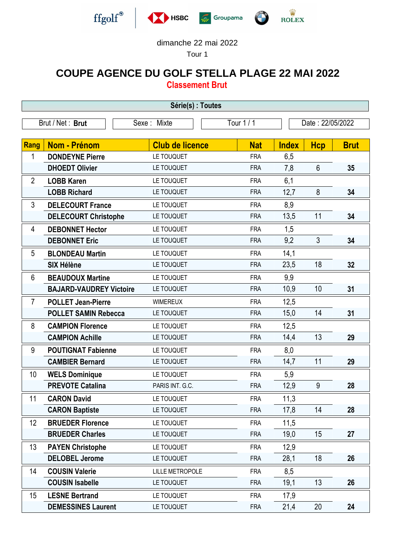







## dimanche 22 mai 2022

Tour 1

## **COUPE AGENCE DU GOLF STELLA PLAGE 22 MAI 2022**

**Classement Brut**

| Série(s) : Toutes |                                                                   |                        |            |              |                |             |  |
|-------------------|-------------------------------------------------------------------|------------------------|------------|--------------|----------------|-------------|--|
|                   | Tour 1 / 1<br>Brut / Net: Brut<br>Date: 22/05/2022<br>Sexe: Mixte |                        |            |              |                |             |  |
|                   |                                                                   |                        |            |              |                |             |  |
| <b>Rang</b>       | <b>Nom - Prénom</b>                                               | <b>Club de licence</b> | <b>Nat</b> | <b>Index</b> | <b>Hcp</b>     | <b>Brut</b> |  |
| 1                 | <b>DONDEYNE Pierre</b>                                            | LE TOUQUET             | <b>FRA</b> | 6,5          |                |             |  |
|                   | <b>DHOEDT Olivier</b>                                             | LE TOUQUET             | <b>FRA</b> | 7,8          | $6\phantom{1}$ | 35          |  |
| $\overline{2}$    | <b>LOBB Karen</b>                                                 | LE TOUQUET             | <b>FRA</b> | 6,1          |                |             |  |
|                   | <b>LOBB Richard</b>                                               | LE TOUQUET             | <b>FRA</b> | 12,7         | 8              | 34          |  |
| 3                 | <b>DELECOURT France</b>                                           | LE TOUQUET             | <b>FRA</b> | 8,9          |                |             |  |
|                   | <b>DELECOURT Christophe</b>                                       | LE TOUQUET             | <b>FRA</b> | 13,5         | 11             | 34          |  |
| 4                 | <b>DEBONNET Hector</b>                                            | LE TOUQUET             | <b>FRA</b> | 1,5          |                |             |  |
|                   | <b>DEBONNET Eric</b>                                              | LE TOUQUET             | <b>FRA</b> | 9,2          | 3              | 34          |  |
| 5                 | <b>BLONDEAU Martin</b>                                            | LE TOUQUET             | <b>FRA</b> | 14,1         |                |             |  |
|                   | <b>SIX Hélène</b>                                                 | LE TOUQUET             | <b>FRA</b> | 23,5         | 18             | 32          |  |
| 6                 | <b>BEAUDOUX Martine</b>                                           | LE TOUQUET             | <b>FRA</b> | 9,9          |                |             |  |
|                   | <b>BAJARD-VAUDREY Victoire</b>                                    | LE TOUQUET             | <b>FRA</b> | 10,9         | 10             | 31          |  |
| $\overline{7}$    | <b>POLLET Jean-Pierre</b>                                         | <b>WIMEREUX</b>        | <b>FRA</b> | 12,5         |                |             |  |
|                   | <b>POLLET SAMIN Rebecca</b>                                       | LE TOUQUET             | <b>FRA</b> | 15,0         | 14             | 31          |  |
| 8                 | <b>CAMPION Florence</b>                                           | LE TOUQUET             | <b>FRA</b> | 12,5         |                |             |  |
|                   | <b>CAMPION Achille</b>                                            | LE TOUQUET             | <b>FRA</b> | 14,4         | 13             | 29          |  |
| 9                 | <b>POUTIGNAT Fabienne</b>                                         | LE TOUQUET             | <b>FRA</b> | 8,0          |                |             |  |
|                   | <b>CAMBIER Bernard</b>                                            | LE TOUQUET             | <b>FRA</b> | 14,7         | 11             | 29          |  |
| 10                | <b>WELS Dominique</b>                                             | LE TOUQUET             | <b>FRA</b> | 5,9          |                |             |  |
|                   | <b>PREVOTE Catalina</b>                                           | PARIS INT. G.C.        | <b>FRA</b> | 12,9         | 9              | 28          |  |
| 11                | <b>CARON David</b>                                                | LE TOUQUET             | <b>FRA</b> | 11,3         |                |             |  |
|                   | <b>CARON Baptiste</b>                                             | LE TOUQUET             | <b>FRA</b> | 17,8         | 14             | 28          |  |
| 12                | <b>BRUEDER Florence</b>                                           | LE TOUQUET             | <b>FRA</b> | 11,5         |                |             |  |
|                   | <b>BRUEDER Charles</b>                                            | LE TOUQUET             | <b>FRA</b> | 19,0         | 15             | 27          |  |
| 13                | <b>PAYEN Christophe</b>                                           | LE TOUQUET             | <b>FRA</b> | 12,9         |                |             |  |
|                   | <b>DELOBEL Jerome</b>                                             | LE TOUQUET             | <b>FRA</b> | 28,1         | 18             | 26          |  |
| 14                | <b>COUSIN Valerie</b>                                             | <b>LILLE METROPOLE</b> | <b>FRA</b> | 8,5          |                |             |  |
|                   | <b>COUSIN Isabelle</b>                                            | LE TOUQUET             | <b>FRA</b> | 19,1         | 13             | 26          |  |
| 15                | <b>LESNE Bertrand</b>                                             | LE TOUQUET             | <b>FRA</b> | 17,9         |                |             |  |
|                   | <b>DEMESSINES Laurent</b>                                         | LE TOUQUET             | <b>FRA</b> | 21,4         | 20             | 24          |  |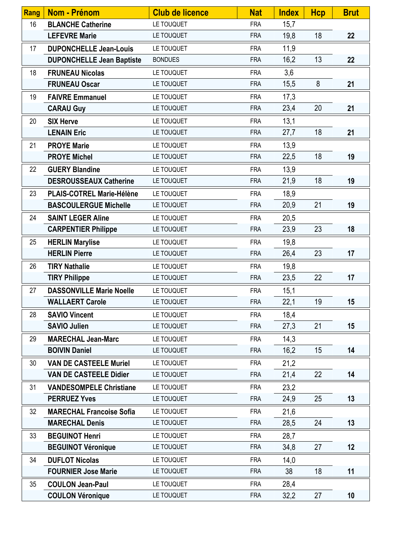| Rang | <b>Nom - Prénom</b>              | <b>Club de licence</b> | <b>Nat</b> | <b>Index</b> | <b>Hcp</b> | <b>Brut</b> |
|------|----------------------------------|------------------------|------------|--------------|------------|-------------|
| 16   | <b>BLANCHE Catherine</b>         | LE TOUQUET             | <b>FRA</b> | 15,7         |            |             |
|      | <b>LEFEVRE Marie</b>             | LE TOUQUET             | <b>FRA</b> | 19,8         | 18         | 22          |
| 17   | <b>DUPONCHELLE Jean-Louis</b>    | LE TOUQUET             | <b>FRA</b> | 11,9         |            |             |
|      | <b>DUPONCHELLE Jean Baptiste</b> | <b>BONDUES</b>         | <b>FRA</b> | 16,2         | 13         | 22          |
| 18   | <b>FRUNEAU Nicolas</b>           | LE TOUQUET             | <b>FRA</b> | 3,6          |            |             |
|      | <b>FRUNEAU Oscar</b>             | LE TOUQUET             | <b>FRA</b> | 15,5         | 8          | 21          |
| 19   | <b>FAIVRE Emmanuel</b>           | LE TOUQUET             | <b>FRA</b> | 17,3         |            |             |
|      | <b>CARAU Guy</b>                 | LE TOUQUET             | <b>FRA</b> | 23,4         | 20         | 21          |
| 20   | <b>SIX Herve</b>                 | LE TOUQUET             | <b>FRA</b> | 13,1         |            |             |
|      | <b>LENAIN Eric</b>               | LE TOUQUET             | <b>FRA</b> | 27,7         | 18         | 21          |
| 21   | <b>PROYE Marie</b>               | LE TOUQUET             | <b>FRA</b> | 13,9         |            |             |
|      | <b>PROYE Michel</b>              | LE TOUQUET             | <b>FRA</b> | 22,5         | 18         | 19          |
| 22   | <b>GUERY Blandine</b>            | LE TOUQUET             | <b>FRA</b> | 13,9         |            |             |
|      | <b>DESROUSSEAUX Catherine</b>    | LE TOUQUET             | <b>FRA</b> | 21,9         | 18         | 19          |
| 23   | PLAIS-COTREL Marie-Hélène        | LE TOUQUET             | <b>FRA</b> | 18,9         |            |             |
|      | <b>BASCOULERGUE Michelle</b>     | LE TOUQUET             | <b>FRA</b> | 20,9         | 21         | 19          |
| 24   | <b>SAINT LEGER Aline</b>         | LE TOUQUET             | <b>FRA</b> | 20,5         |            |             |
|      | <b>CARPENTIER Philippe</b>       | LE TOUQUET             | <b>FRA</b> | 23,9         | 23         | 18          |
| 25   | <b>HERLIN Marylise</b>           | LE TOUQUET             | <b>FRA</b> | 19,8         |            |             |
|      | <b>HERLIN Pierre</b>             | LE TOUQUET             | <b>FRA</b> | 26,4         | 23         | 17          |
| 26   | <b>TIRY Nathalie</b>             | LE TOUQUET             | <b>FRA</b> | 19,8         |            |             |
|      | <b>TIRY Philippe</b>             | LE TOUQUET             | <b>FRA</b> | 23,5         | 22         | 17          |
| 27   | <b>DASSONVILLE Marie Noelle</b>  | LE TOUQUET             | <b>FRA</b> | 15,1         |            |             |
|      | <b>WALLAERT Carole</b>           | LE TOUQUET             | <b>FRA</b> | 22,1         | 19         | 15          |
| 28   | <b>SAVIO Vincent</b>             | LE TOUQUET             | <b>FRA</b> | 18,4         |            |             |
|      | <b>SAVIO Julien</b>              | LE TOUQUET             | <b>FRA</b> | 27,3         | 21         | 15          |
| 29   | <b>MARECHAL Jean-Marc</b>        | LE TOUQUET             | <b>FRA</b> | 14,3         |            |             |
|      | <b>BOIVIN Daniel</b>             | LE TOUQUET             | <b>FRA</b> | 16,2         | 15         | 14          |
| 30   | <b>VAN DE CASTEELE Muriel</b>    | LE TOUQUET             | <b>FRA</b> | 21,2         |            |             |
|      | <b>VAN DE CASTEELE Didier</b>    | LE TOUQUET             | <b>FRA</b> | 21,4         | 22         | 14          |
| 31   | <b>VANDESOMPELE Christiane</b>   | LE TOUQUET             | <b>FRA</b> | 23,2         |            |             |
|      | <b>PERRUEZ Yves</b>              | LE TOUQUET             | <b>FRA</b> | 24,9         | 25         | 13          |
| 32   | <b>MARECHAL Francoise Sofia</b>  | LE TOUQUET             | <b>FRA</b> | 21,6         |            |             |
|      | <b>MARECHAL Denis</b>            | LE TOUQUET             | <b>FRA</b> | 28,5         | 24         | 13          |
| 33   | <b>BEGUINOT Henri</b>            | LE TOUQUET             | <b>FRA</b> | 28,7         |            |             |
|      | <b>BEGUINOT Véronique</b>        | LE TOUQUET             | <b>FRA</b> | 34,8         | 27         | 12          |
| 34   | <b>DUFLOT Nicolas</b>            | LE TOUQUET             | <b>FRA</b> | 14,0         |            |             |
|      | <b>FOURNIER Jose Marie</b>       | LE TOUQUET             | <b>FRA</b> | 38           | 18         | 11          |
| 35   | <b>COULON Jean-Paul</b>          | LE TOUQUET             | <b>FRA</b> | 28,4         |            |             |
|      | <b>COULON Véronique</b>          | LE TOUQUET             | <b>FRA</b> | 32,2         | 27         | 10          |